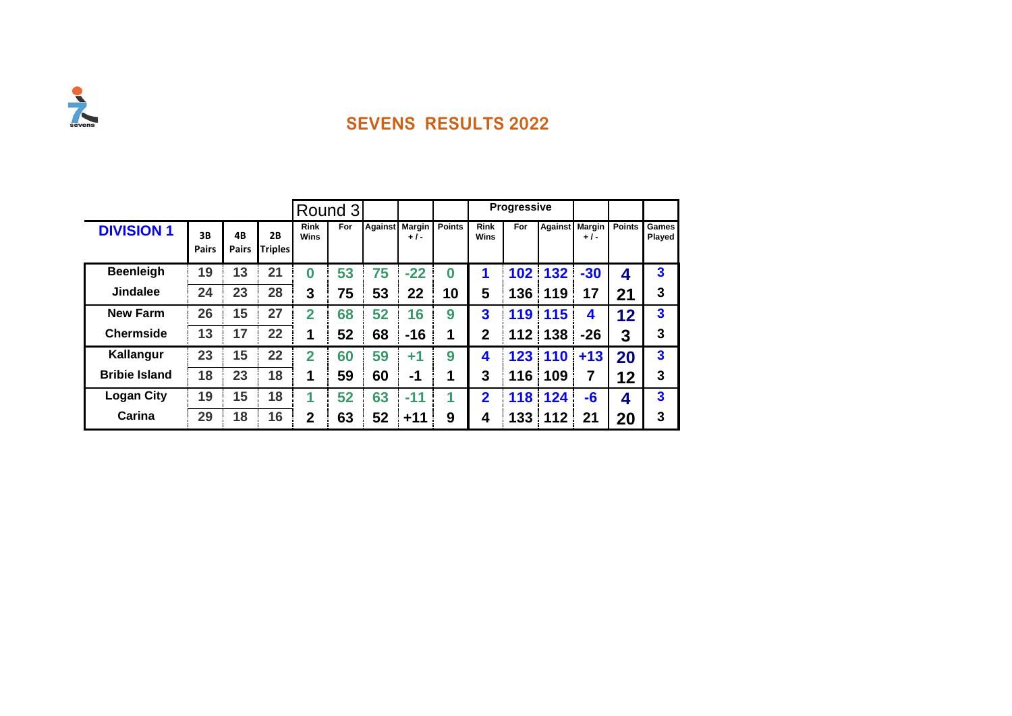

|                      |                    |             |                      |                     |            | Round 3        |                 |               |                     | <b>Progressive</b> |                |                 |               |                 |
|----------------------|--------------------|-------------|----------------------|---------------------|------------|----------------|-----------------|---------------|---------------------|--------------------|----------------|-----------------|---------------|-----------------|
| <b>DIVISION 1</b>    | 3B<br><b>Pairs</b> | 4B<br>Pairs | 2B<br><b>Triples</b> | <b>Rink</b><br>Wins | <b>For</b> | <b>Against</b> | Margin<br>$+1-$ | <b>Points</b> | <b>Rink</b><br>Wins | For                | <b>Against</b> | Margin<br>$+1-$ | <b>Points</b> | Games<br>Played |
| <b>Beenleigh</b>     | 19                 | 13          | 21                   | $\bf{0}$            | 53         | 75             | $-22$           | $\bf{0}$      | 1                   | 102                | 132            | $-30$           | 4             | 3               |
| <b>Jindalee</b>      | 24                 | 23          | 28                   | 3                   | 75         | 53             | 22              | 10            | 5                   | 136                | 119            | 17              | 21            | 3               |
| <b>New Farm</b>      | 26                 | 15          | 27                   | 2                   | 68         | 52             | 16              | 9             | 3                   | 119                | 115            | 4               | 12            | 3               |
| <b>Chermside</b>     | 13                 | 17          | 22                   | 1                   | 52         | 68             | $-16$           | 1             | $\mathbf{2}$        | 112                | 138            | $-26$           | 3             | 3               |
| Kallangur            | 23                 | 15          | 22                   | $\overline{2}$      | 60         | 59             | +1              | 9             | 4                   | 123                | 110            | $+13$           | 20            | 3               |
| <b>Bribie Island</b> | 18                 | 23          | 18                   | 1                   | 59         | 60             | -1              |               | 3                   | 116                | 109            | 7               | 12            | 3               |
| <b>Logan City</b>    | 19                 | 15          | 18                   |                     | 52         | 63             | $-11$           |               | $\boldsymbol{p}$    | 118                | 124<br>4       | $-6$            | 4             | 3               |
| Carina               | 29                 | 18          | 16                   | $\mathbf 2$         | 63         | 52             | $+11$           | 9             | 4                   | 133                | 112            | 21              | 20            | 3               |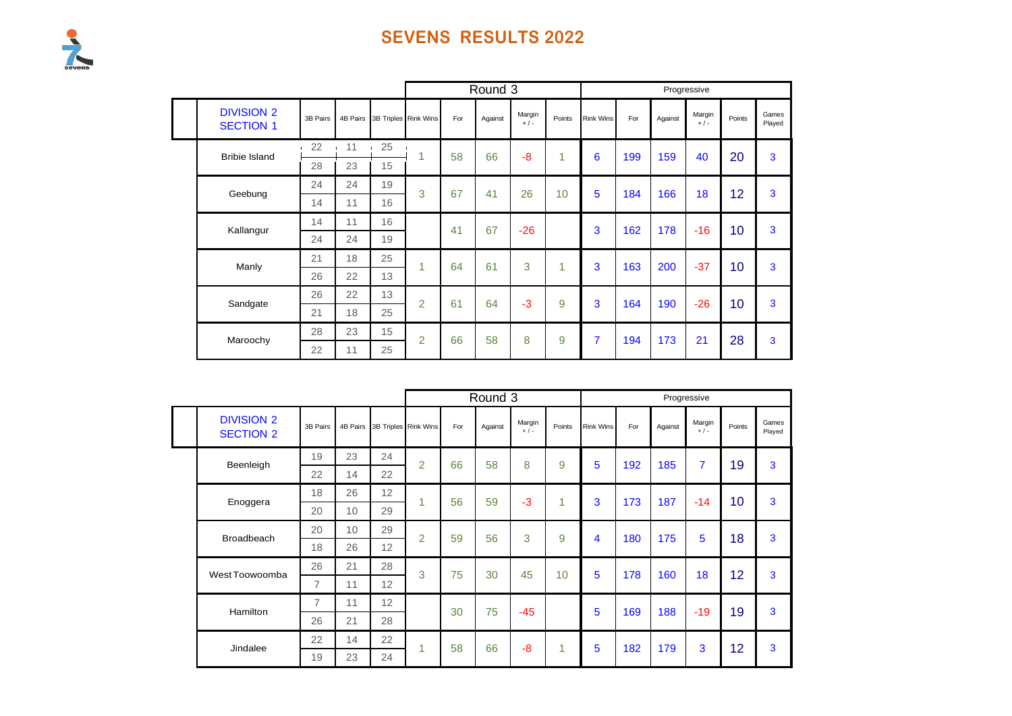Sevens

|                                       |          |          |    |                      |     | Round 3 |                 |        |                  |     |         | Progressive       |        |                 |
|---------------------------------------|----------|----------|----|----------------------|-----|---------|-----------------|--------|------------------|-----|---------|-------------------|--------|-----------------|
| <b>DIVISION 2</b><br><b>SECTION 1</b> | 3B Pairs | 4B Pairs |    | 3B Triples Rink Wins | For | Against | Margin<br>$+/-$ | Points | <b>Rink Wins</b> | For | Against | Margin<br>$+$ / - | Points | Games<br>Played |
| <b>Bribie Island</b>                  | 22       | 11       | 25 | 1                    | 58  | 66      | -8              | 1      | 6                | 199 | 159     | 40                | 20     | 3               |
|                                       | 28       | 23       | 15 |                      |     |         |                 |        |                  |     |         |                   |        |                 |
| Geebung                               | 24       | 24       | 19 | 3                    | 67  | 41      | 26              | 10     | 5                | 184 | 166     | 18                | 12     | 3               |
|                                       | 14       | 11       | 16 |                      |     |         |                 |        |                  |     |         |                   |        |                 |
| Kallangur                             | 14       | 11       | 16 |                      | 41  | 67      | $-26$           |        | 3                | 162 | 178     | $-16$             | 10     | 3               |
|                                       | 24       | 24       | 19 |                      |     |         |                 |        |                  |     |         |                   |        |                 |
| Manly                                 | 21       | 18       | 25 | 1                    | 64  | 61      | 3               | 1      | 3                | 163 | 200     | $-37$             | 10     | 3               |
|                                       | 26       | 22       | 13 |                      |     |         |                 |        |                  |     |         |                   |        |                 |
| Sandgate                              | 26       | 22       | 13 | $\overline{2}$       | 61  | 64      | $-3$            | 9      | 3                | 164 | 190     | $-26$             | 10     | 3               |
|                                       | 21       | 18       | 25 |                      |     |         |                 |        |                  |     |         |                   |        |                 |
| Maroochy                              | 28       | 23       | 15 | $\overline{2}$       | 66  | 58      | 8               | 9      | $\overline{7}$   | 194 | 173     | 21                | 28     | 3               |
|                                       | 22       | 11       | 25 |                      |     |         |                 |        |                  |     |         |                   |        |                 |

|                                       |                |          |    |                      |     | Round 3 |                 |        |                  |     | Progressive |                   |        |                 |
|---------------------------------------|----------------|----------|----|----------------------|-----|---------|-----------------|--------|------------------|-----|-------------|-------------------|--------|-----------------|
| <b>DIVISION 2</b><br><b>SECTION 2</b> | 3B Pairs       | 4B Pairs |    | 3B Triples Rink Wins | For | Against | Margin<br>$+/-$ | Points | <b>Rink Wins</b> | For | Against     | Margin<br>$+$ / - | Points | Games<br>Played |
| Beenleigh                             | 19             | 23       | 24 | $\overline{2}$       | 66  | 58      | 8               | 9      | 5                | 192 | 185         | $\overline{7}$    | 19     | 3               |
|                                       | 22             | 14       | 22 |                      |     |         |                 |        |                  |     |             |                   |        |                 |
| Enoggera                              | 18             | 26       | 12 | 4                    | 56  | 59      | $-3$            | 4      | 3                | 173 | 187         | $-14$             | 10     | 3               |
|                                       | 20             | 10       | 29 |                      |     |         |                 |        |                  |     |             |                   |        |                 |
| <b>Broadbeach</b>                     | 20             | 10       | 29 | 2                    | 59  | 56      | 3               | 9      | 4                | 180 | 175         | 5                 | 18     | 3               |
|                                       | 18             | 26       | 12 |                      |     |         |                 |        |                  |     |             |                   |        |                 |
| West Toowoomba                        | 26             | 21       | 28 | 3                    | 75  | 30      | 45              | 10     | 5                | 178 | 160         | 18                | 12     | 3               |
|                                       | $\overline{7}$ | 11       | 12 |                      |     |         |                 |        |                  |     |             |                   |        |                 |
|                                       | 7              | 11       | 12 |                      | 30  | 75      | $-45$           |        | 5                | 169 | 188         | $-19$             | 19     | 3               |
| Hamilton                              | 26             | 21       | 28 |                      |     |         |                 |        |                  |     |             |                   |        |                 |
| Jindalee                              | 22             | 14       | 22 | 1                    | 58  | 66      | -8              | 1      | 5                | 182 | 179         | 3                 | 12     | 3               |
|                                       | 19             | 23       | 24 |                      |     |         |                 |        |                  |     |             |                   |        |                 |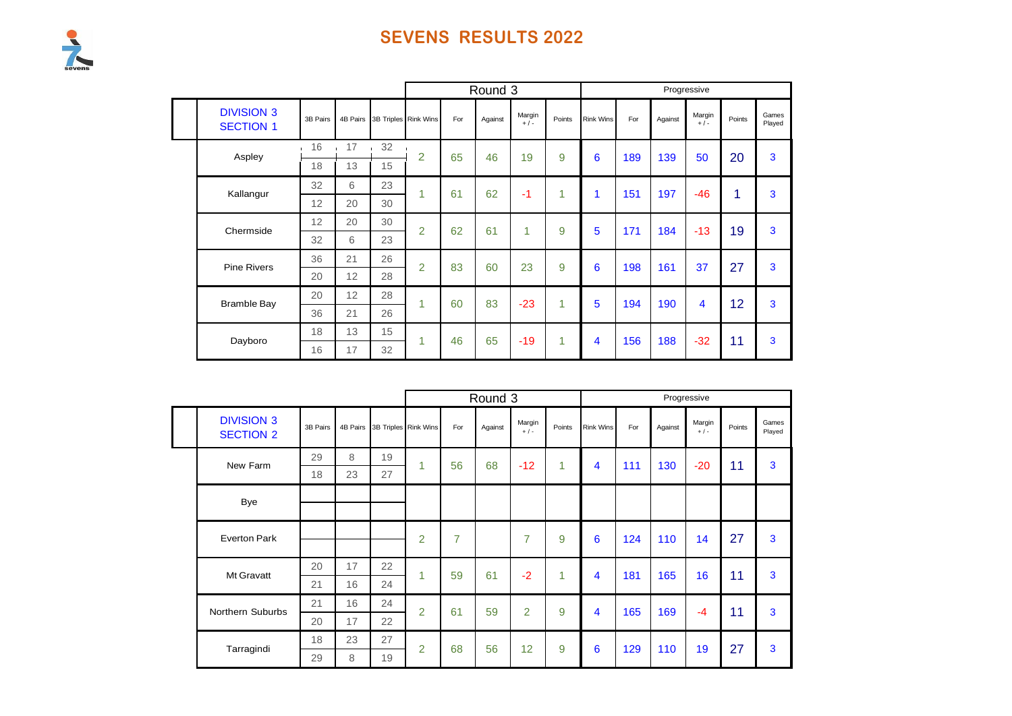

|                                       |          |                      |     |                      |     | Round 3 |                 |        |                         |     |         | Progressive     |        |                 |
|---------------------------------------|----------|----------------------|-----|----------------------|-----|---------|-----------------|--------|-------------------------|-----|---------|-----------------|--------|-----------------|
| <b>DIVISION 3</b><br><b>SECTION 1</b> | 3B Pairs | 4B Pairs             |     | 3B Triples Rink Wins | For | Against | Margin<br>$+/-$ | Points | <b>Rink Wins</b>        | For | Against | Margin<br>$+/-$ | Points | Games<br>Played |
| Aspley                                | 16       | 17<br><b>COLLECT</b> | .32 | $\overline{2}$       | 65  | 46      | 19              | 9      | 6                       | 189 | 139     | 50              | 20     | 3               |
|                                       | 18       | 13                   | 15  |                      |     |         |                 |        |                         |     |         |                 |        |                 |
| Kallangur                             | 32       | 6                    | 23  | 1                    | 61  | 62      | $-1$            | 1      |                         | 151 | 197     | $-46$           | 1      | 3               |
|                                       | 12       | 20                   | 30  |                      |     |         |                 |        |                         |     |         |                 |        |                 |
| Chermside                             | 12       | 20                   | 30  | $\overline{2}$       | 62  | 61      | 1               | 9      | 5                       | 171 | 184     | $-13$           | 19     | 3               |
|                                       | 32       | 6                    | 23  |                      |     |         |                 |        |                         |     |         |                 |        |                 |
| <b>Pine Rivers</b>                    | 36       | 21                   | 26  | $\overline{2}$       | 83  | 60      | 23              | 9      | 6                       | 198 | 161     | 37              | 27     | 3               |
|                                       | 20       | 12                   | 28  |                      |     |         |                 |        |                         |     |         |                 |        |                 |
| <b>Bramble Bay</b>                    | 20       | 12                   | 28  | 1                    | 60  | 83      | $-23$           | 1      | 5                       | 194 | 190     | 4               | 12     | 3               |
|                                       | 36       | 21<br>26             |     |                      |     |         |                 |        |                         |     |         |                 |        |                 |
| Dayboro                               | 18       | 13                   | 15  | 1                    | 46  | 65      | $-19$           | 1      | $\overline{\mathbf{4}}$ | 156 | 188     | $-32$           | 11     | 3               |
|                                       | 16       | 17                   | 32  |                      |     |         |                 |        |                         |     |         |                 |        |                 |

|  |                                       |          |          |    |                      |                | Round 3 |                 |        |                  |     |         | Progressive       |        |                 |
|--|---------------------------------------|----------|----------|----|----------------------|----------------|---------|-----------------|--------|------------------|-----|---------|-------------------|--------|-----------------|
|  | <b>DIVISION 3</b><br><b>SECTION 2</b> | 3B Pairs | 4B Pairs |    | 3B Triples Rink Wins | For            | Against | Margin<br>$+/-$ | Points | <b>Rink Wins</b> | For | Against | Margin<br>$+$ / - | Points | Games<br>Played |
|  | New Farm                              | 29       | 8        | 19 | и                    | 56             | 68      | $-12$           | 1      | 4                | 111 | 130     | $-20$             | 11     | 3               |
|  |                                       | 18       | 23       | 27 |                      |                |         |                 |        |                  |     |         |                   |        |                 |
|  | <b>Bye</b>                            |          |          |    |                      |                |         |                 |        |                  |     |         |                   |        |                 |
|  | <b>Everton Park</b>                   |          |          |    | $\overline{2}$       | $\overline{7}$ |         | $\overline{7}$  | 9      | 6                | 124 | 110     | 14                | 27     | 3               |
|  | Mt Gravatt                            | 20       | 17       | 22 | 1                    | 59             | 61      | $-2$            | 1      | 4                | 181 | 165     | 16                | 11     | 3               |
|  |                                       | 21       | 16       | 24 |                      |                |         |                 |        |                  |     |         |                   |        |                 |
|  | Northern Suburbs                      | 21       | 16       | 24 | $\overline{2}$       | 61             | 59      | $\overline{2}$  | 9      | 4                | 165 | 169     | $-4$              | 11     | 3               |
|  |                                       | 20       | 17       | 22 |                      |                |         |                 |        |                  |     |         |                   |        |                 |
|  | Tarragindi                            | 18       | 23       | 27 | $\overline{2}$       | 68             | 56      | 12              | 9      | 6                | 129 | 110     | 19                | 27     | 3               |
|  |                                       | 29       | 8        | 19 |                      |                |         |                 |        |                  |     |         |                   |        |                 |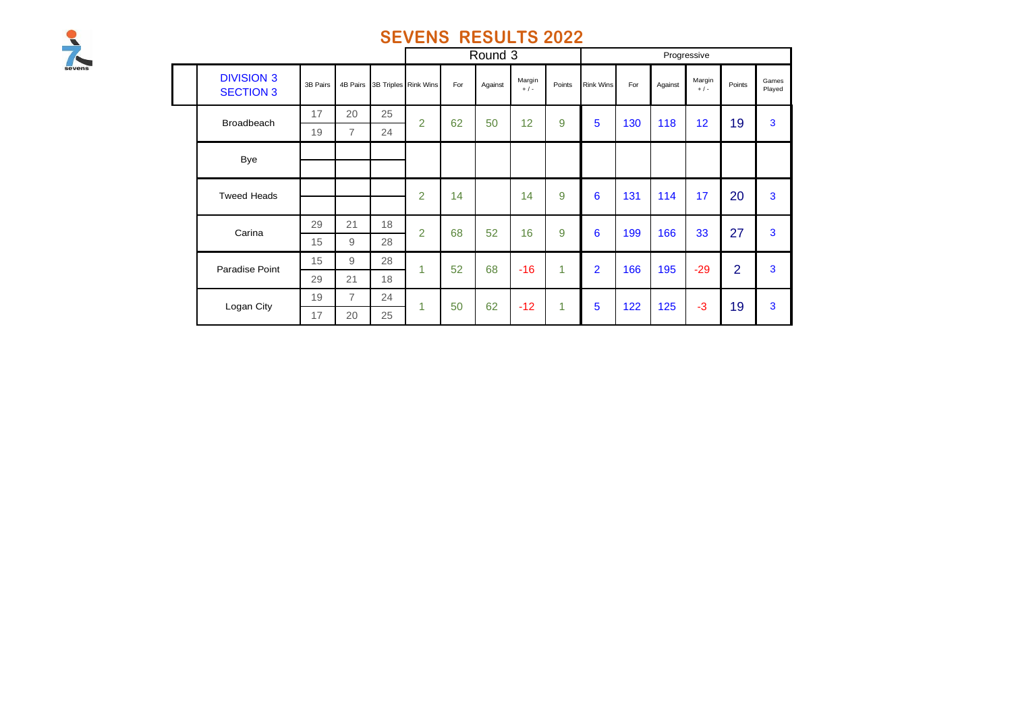

|  |                                       |          |                |    |                      |     | Round 3 |                   |        |                  |     |         | Progressive     |                |                 |
|--|---------------------------------------|----------|----------------|----|----------------------|-----|---------|-------------------|--------|------------------|-----|---------|-----------------|----------------|-----------------|
|  | <b>DIVISION 3</b><br><b>SECTION 3</b> | 3B Pairs | 4B Pairs       |    | 3B Triples Rink Wins | For | Against | Margin<br>$+$ / - | Points | <b>Rink Wins</b> | For | Against | Margin<br>$+/-$ | Points         | Games<br>Played |
|  | Broadbeach                            | 17       | 20             | 25 | $\overline{2}$       | 62  | 50      | 12                | 9      | 5                | 130 | 118     | 12              | 19             | $\mathbf{3}$    |
|  |                                       | 19       | $\overline{7}$ | 24 |                      |     |         |                   |        |                  |     |         |                 |                |                 |
|  | <b>Bye</b>                            |          |                |    |                      |     |         |                   |        |                  |     |         |                 |                |                 |
|  |                                       |          |                |    |                      |     |         |                   |        |                  |     |         |                 |                |                 |
|  | <b>Tweed Heads</b>                    |          |                |    | $\overline{2}$       | 14  |         | 14                | 9      | 6                | 131 | 114     | 17              | 20             | $\mathbf{3}$    |
|  |                                       |          |                |    |                      |     |         |                   |        |                  |     |         |                 |                |                 |
|  | Carina                                | 29       | 21             | 18 | $\overline{2}$       | 68  | 52      | 16                | 9      | 6                | 199 | 166     | 33              | 27             | 3               |
|  |                                       | 15       | 9              | 28 |                      |     |         |                   |        |                  |     |         |                 |                |                 |
|  | Paradise Point                        | 15       | 9              | 28 | $\overline{1}$       | 52  | 68      | $-16$             | 1      | $\overline{2}$   | 166 | 195     | $-29$           | $\overline{2}$ | 3               |
|  |                                       | 29       | 21             | 18 |                      |     |         |                   |        |                  |     |         |                 |                |                 |
|  | Logan City                            | 19       | $\overline{7}$ | 24 | 1                    | 50  | 62      | $-12$             | 1      | 5                | 122 | 125     | $-3$            | 19             | 3               |
|  |                                       | 17       | 20             | 25 |                      |     |         |                   |        |                  |     |         |                 |                |                 |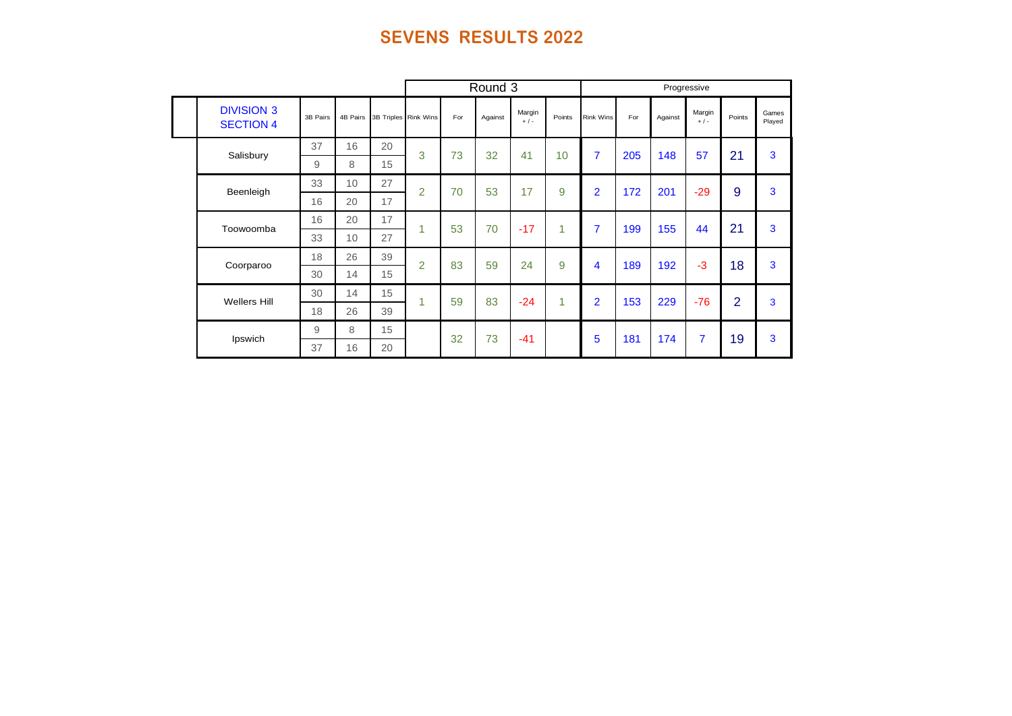|                                       |          |          |                      |                |     | Round 3 |                   |        |                  |     |         | Progressive     |                |                 |
|---------------------------------------|----------|----------|----------------------|----------------|-----|---------|-------------------|--------|------------------|-----|---------|-----------------|----------------|-----------------|
| <b>DIVISION 3</b><br><b>SECTION 4</b> | 3B Pairs | 4B Pairs | 3B Triples Rink Wins |                | For | Against | Margin<br>$+$ / - | Points | <b>Rink Wins</b> | For | Against | Margin<br>$+/-$ | Points         | Games<br>Played |
| Salisbury                             | 37       | 16       | 20                   | 3              | 73  | 32      | 41                | 10     | $\overline{7}$   | 205 | 148     | 57              | 21             | 3               |
|                                       | 9        | 8        | 15                   |                |     |         |                   |        |                  |     |         |                 |                |                 |
| Beenleigh                             | 33       | 10       | 27                   | $\overline{2}$ | 70  | 53      | 17                | 9      | $\overline{2}$   | 172 | 201     | $-29$           | 9              | 3               |
|                                       | 16       | 20       | 17                   |                |     |         |                   |        |                  |     |         |                 |                |                 |
| Toowoomba                             | 16       | 20       | 17                   | 1              | 53  | 70      | $-17$             | 1      | $\overline{7}$   | 199 | 155     | 44              | 21             | 3               |
|                                       | 33       | 10       | 27                   |                |     |         |                   |        |                  |     |         |                 |                |                 |
| Coorparoo                             | 18       | 26       | 39                   | $\overline{2}$ | 83  | 59      | 24                | 9      | 4                | 189 | 192     | $-3$            | 18             | 3               |
|                                       | 30       | 14       | 15                   |                |     |         |                   |        |                  |     |         |                 |                |                 |
| <b>Wellers Hill</b>                   | 30       | 14       | 15                   | 1              | 59  | 83      | $-24$             | 1      | $\overline{2}$   | 153 | 229     | $-76$           | $\overline{2}$ | 3               |
|                                       | 18       | 26       | 39                   |                |     |         |                   |        |                  |     |         |                 |                |                 |
| Ipswich                               | 9        | 8        | 15                   |                | 32  | 73      | $-41$             |        | 5                | 181 | 174     | 7               | 19             | 3               |
|                                       | 37       | 16       | 20                   |                |     |         |                   |        |                  |     |         |                 |                |                 |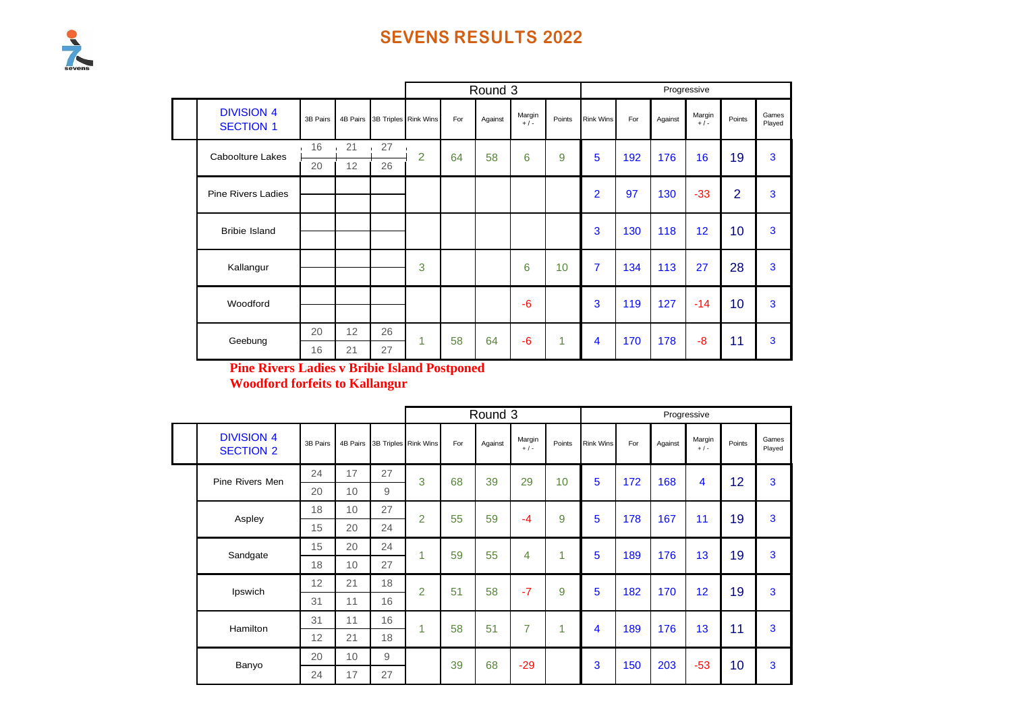|                                       |          |          |    |                      |     | Round 3 |                 |        |                  |     |         | Progressive     |                |                 |
|---------------------------------------|----------|----------|----|----------------------|-----|---------|-----------------|--------|------------------|-----|---------|-----------------|----------------|-----------------|
| <b>DIVISION 4</b><br><b>SECTION 1</b> | 3B Pairs | 4B Pairs |    | 3B Triples Rink Wins | For | Against | Margin<br>$+/-$ | Points | <b>Rink Wins</b> | For | Against | Margin<br>$+/-$ | Points         | Games<br>Played |
| <b>Caboolture Lakes</b>               | 16       | 21       | 27 | $\overline{2}$       | 64  | 58      | 6               | 9      | 5                | 192 | 176     | 16              | 19             | 3               |
|                                       | 20       | 12       | 26 |                      |     |         |                 |        |                  |     |         |                 |                |                 |
| <b>Pine Rivers Ladies</b>             |          |          |    |                      |     |         |                 |        | $\overline{2}$   | 97  | 130     | $-33$           | $\overline{2}$ | 3               |
| <b>Bribie Island</b>                  |          |          |    |                      |     |         |                 |        | 3                | 130 | 118     | 12              | 10             | 3               |
| Kallangur                             |          |          |    | 3                    |     |         | 6               | 10     | $\overline{7}$   | 134 | 113     | 27              | 28             | 3               |
| Woodford                              |          |          |    |                      |     |         | $-6$            |        | 3                | 119 | 127     | $-14$           | 10             | 3               |
|                                       | 20       | 12       | 26 | 1                    | 58  | 64      | $-6$            | 1      | 4                | 170 | 178     | -8              | 11             | 3               |
| Geebung                               | 16       | 21       | 27 |                      |     |         |                 |        |                  |     |         |                 |                |                 |

**Pine Rivers Ladies v Bribie Island Postponed Woodford forfeits to Kallangur**

|                                       |                |                 |                |                               |     | Round 3        |                 |        |                  |     |         | Progressive     |        |                 |
|---------------------------------------|----------------|-----------------|----------------|-------------------------------|-----|----------------|-----------------|--------|------------------|-----|---------|-----------------|--------|-----------------|
| <b>DIVISION 4</b><br><b>SECTION 2</b> | 3B Pairs       |                 |                | 4B Pairs 3B Triples Rink Wins | For | Against        | Margin<br>$+/-$ | Points | <b>Rink Wins</b> | For | Against | Margin<br>$+/-$ | Points | Games<br>Played |
| Pine Rivers Men                       | 24             | 17              | 27             | 3                             | 68  | 39             | 29              | 10     | 5                | 172 | 168     | 4               | 12     | 3               |
|                                       | 20             | 10              | 9              |                               |     |                |                 |        |                  |     |         |                 |        |                 |
| Aspley                                | 18             | 10 <sup>°</sup> | 27             | $\overline{2}$                | 55  | 59             | $-4$            | 9      | 5                | 178 | 167     | 11              | 19     | 3               |
|                                       | 15             | 20              | 24             |                               |     |                |                 |        |                  |     |         |                 |        |                 |
| Sandgate                              | 15             | 20              | 24             | 1                             | 59  | 55             | 4               | 1      | 5                | 189 | 176     | 13              | 19     | 3               |
|                                       | 18             | 10              | 27             |                               |     |                |                 |        |                  |     |         |                 |        |                 |
| Ipswich                               | 12             | 21              | 18             | $\overline{2}$                | 51  | 58             | $-7$            | 9      | 5                | 182 | 170     | 12              | 19     | 3               |
|                                       | 31             | 11              | 16             |                               |     |                |                 |        |                  |     |         |                 |        |                 |
| Hamilton                              | 11<br>16<br>31 |                 | $\overline{1}$ | 58                            | 51  | $\overline{7}$ | 1               | 4      | 189              | 176 | 13      | 11              | 3      |                 |
|                                       | 12             | 21              | 18             |                               |     |                |                 |        |                  |     |         |                 |        |                 |
|                                       | 20             | 10 <sup>°</sup> | 9              |                               | 39  | 68             | $-29$           |        | 3                | 150 | 203     | $-53$           | 10     | 3               |
| Banyo                                 | 24             | 17              | 27             |                               |     |                |                 |        |                  |     |         |                 |        |                 |

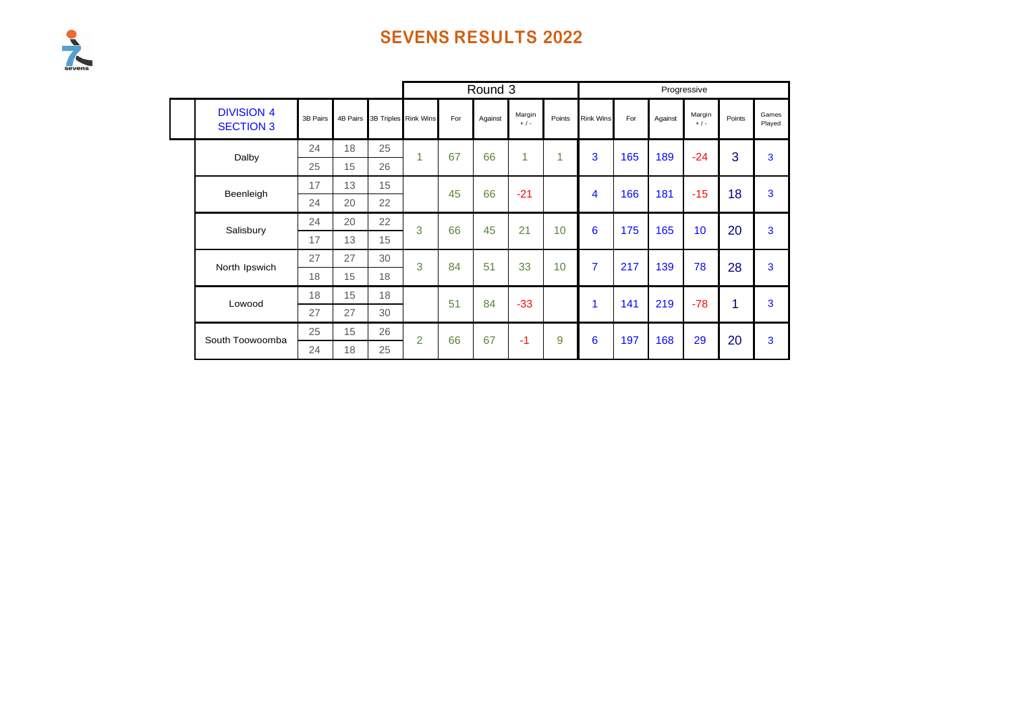# Sevens

|                                       |          |    |    |                               |     | Round 3 |                   |        |                  |     |         | Progressive     |        |                 |
|---------------------------------------|----------|----|----|-------------------------------|-----|---------|-------------------|--------|------------------|-----|---------|-----------------|--------|-----------------|
| <b>DIVISION 4</b><br><b>SECTION 3</b> | 3B Pairs |    |    | 4B Pairs 3B Triples Rink Wins | For | Against | Margin<br>$+$ / - | Points | <b>Rink Wins</b> | For | Against | Margin<br>$+/-$ | Points | Games<br>Played |
| Dalby                                 | 24       | 18 | 25 | 1                             | 67  | 66      | 1                 | 1      | 3                | 165 | 189     | $-24$           | 3      | 3               |
|                                       | 25       | 15 | 26 |                               |     |         |                   |        |                  |     |         |                 |        |                 |
| Beenleigh                             | 17       | 13 | 15 |                               | 45  | 66      | $-21$             |        | 4                | 166 | 181     | $-15$           | 18     | 3               |
|                                       | 24       | 20 | 22 |                               |     |         |                   |        |                  |     |         |                 |        |                 |
| Salisbury                             | 24       | 20 | 22 | 3                             | 66  | 45      | 21                | 10     | 6                | 175 | 165     | 10              | 20     | 3               |
|                                       | 17       | 13 | 15 |                               |     |         |                   |        |                  |     |         |                 |        |                 |
| North Ipswich                         | 27       | 27 | 30 | 3                             | 84  | 51      | 33                | 10     | $\overline{7}$   | 217 | 139     | 78              | 28     | 3               |
|                                       | 18       | 15 | 18 |                               |     |         |                   |        |                  |     |         |                 |        |                 |
| Lowood                                | 18       | 15 | 18 |                               | 51  | 84      | $-33$             |        | 1                | 141 | 219     | $-78$           | 1      | 3               |
|                                       | 27       | 27 | 30 |                               |     |         |                   |        |                  |     |         |                 |        |                 |
| South Toowoomba                       | 25       | 15 | 26 | $\overline{2}$                | 66  | 67      | $-1$              | 9      | 6                | 197 | 168     | 29              | 20     | 3               |
|                                       | 24       | 18 | 25 |                               |     |         |                   |        |                  |     |         |                 |        |                 |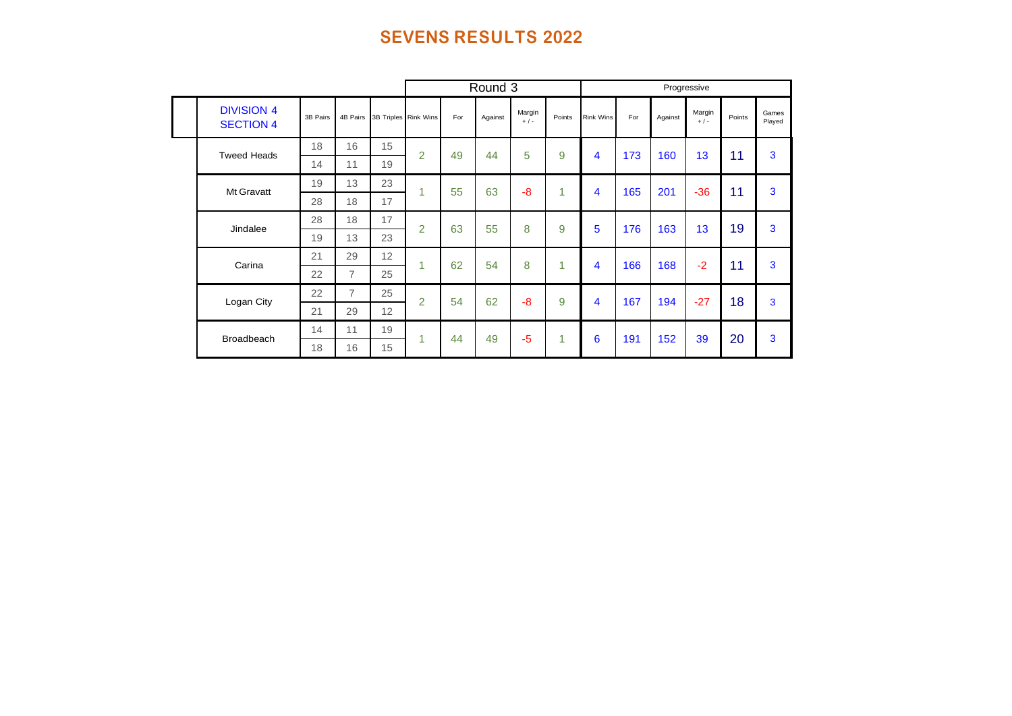|                                       |                              |                |                      |                |      | Round 3 |                   |        |                  |     | Progressive |                 |        |                 |
|---------------------------------------|------------------------------|----------------|----------------------|----------------|------|---------|-------------------|--------|------------------|-----|-------------|-----------------|--------|-----------------|
| <b>DIVISION 4</b><br><b>SECTION 4</b> | 3B Pairs                     | 4B Pairs       | 3B Triples Rink Wins |                | For  | Against | Margin<br>$+$ / - | Points | <b>Rink Wins</b> | For | Against     | Margin<br>$+/-$ | Points | Games<br>Played |
| <b>Tweed Heads</b>                    | 18                           | 16             | 15                   | $\overline{2}$ | 49   | 44      | 5                 | 9      | 4                | 173 | 160         | 13              | 11     | 3               |
|                                       | 14                           | 11             | 19                   |                |      |         |                   |        |                  |     |             |                 |        |                 |
| Mt Gravatt                            | 19                           | 13             | 23                   | 1              | 55   | 63      | -8                | 1      | 4                | 165 | 201         | $-36$           | 11     | 3               |
|                                       | 28                           | 18             | 17                   |                |      |         |                   |        |                  |     |             |                 |        |                 |
| Jindalee                              | 28                           | 18             | 17                   | $\overline{2}$ | 63   | 55      | 8                 | 9      | 5                | 176 | 163         | 13              | 19     | 3               |
|                                       | 19                           | 13             | 23                   |                |      |         |                   |        |                  |     |             |                 |        |                 |
| Carina                                | 21                           | 29             | 12                   | 1              | 62   | 54      | 8                 | 1      | 4                | 166 | 168         | $-2$            | 11     | 3               |
|                                       | 22                           | $\overline{7}$ | 25                   |                |      |         |                   |        |                  |     |             |                 |        |                 |
| Logan City                            | 22                           | $\overline{7}$ | 25                   | $\overline{2}$ | 54   | 62      | -8                | 9      | 4                | 167 | 194         | $-27$           | 18     | 3               |
|                                       | 21                           | 29             | 12                   |                |      |         |                   |        |                  |     |             |                 |        |                 |
|                                       | 19<br>14<br>11<br>Broadbeach | 1              | 44                   | 49             | $-5$ | 1       | 6                 | 191    | 152              | 39  | 20          | 3               |        |                 |
|                                       | 18<br>16<br>15               |                |                      |                |      |         |                   |        |                  |     |             |                 |        |                 |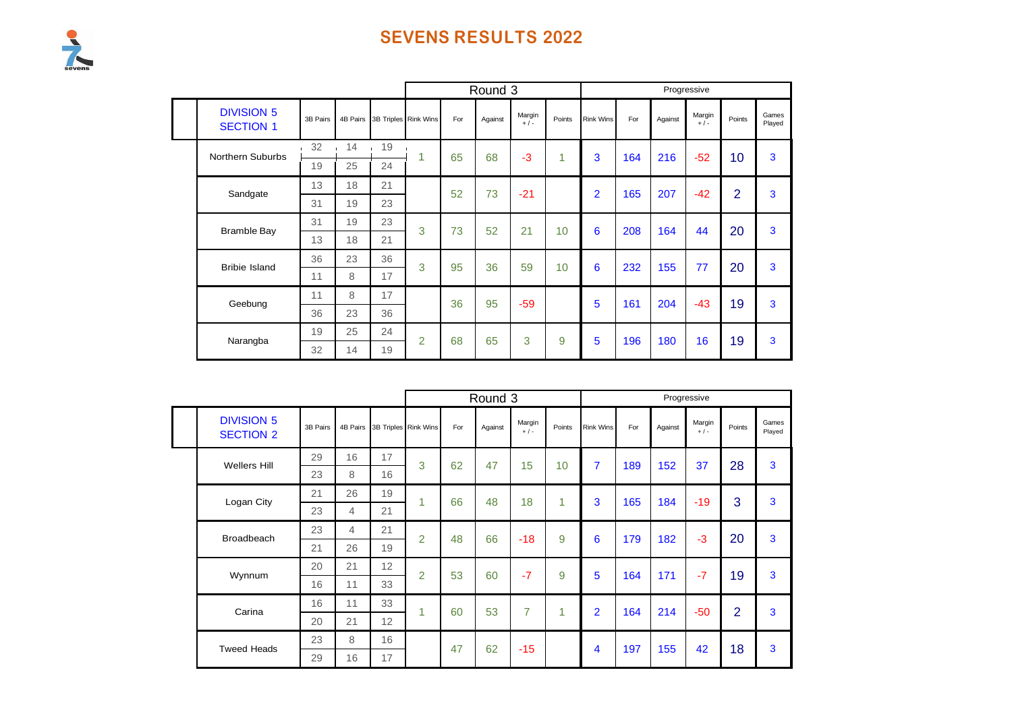

|                                       |          |          |                    |                               |     | Round 3 |                 |        |                  |     |         | Progressive       |                |                 |
|---------------------------------------|----------|----------|--------------------|-------------------------------|-----|---------|-----------------|--------|------------------|-----|---------|-------------------|----------------|-----------------|
| <b>DIVISION 5</b><br><b>SECTION 1</b> | 3B Pairs |          |                    | 4B Pairs 3B Triples Rink Wins | For | Against | Margin<br>$+/-$ | Points | <b>Rink Wins</b> | For | Against | Margin<br>$+$ / - | Points         | Games<br>Played |
| <b>Northern Suburbs</b>               | 32       | 14       | 19<br>$\mathbf{I}$ | 1                             | 65  | 68      | $-3$            | 1      | 3                | 164 | 216     | $-52$             | 10             | 3               |
|                                       | 19       | 25       | 24                 |                               |     |         |                 |        |                  |     |         |                   |                |                 |
| Sandgate                              | 13       | 18       | 21                 |                               | 52  | 73      | $-21$           |        | $\overline{2}$   | 165 | 207     | $-42$             | $\overline{2}$ | 3               |
|                                       | 31       | 19       | 23                 |                               |     |         |                 |        |                  |     |         |                   |                |                 |
| <b>Bramble Bay</b>                    | 31       | 19       | 23                 | 3                             | 73  | 52      | 21              | 10     | 6                | 208 | 164     | 44                | 20             | 3               |
|                                       | 13       | 18       | 21                 |                               |     |         |                 |        |                  |     |         |                   |                |                 |
| <b>Bribie Island</b>                  | 36       | 23       | 36                 | 3                             | 95  | 36      | 59              | 10     | 6                | 232 | 155     | 77                | 20             | 3               |
|                                       | 11       | 8        | 17                 |                               |     |         |                 |        |                  |     |         |                   |                |                 |
| Geebung                               | 11       | 8        | 17                 |                               | 36  | 95      | $-59$           |        | 5                | 161 | 204     | $-43$             | 19             | 3               |
|                                       | 36       | 23       | 36                 |                               |     |         |                 |        |                  |     |         |                   |                |                 |
| Narangba                              | 19       | 25<br>24 | $\overline{2}$     | 68                            | 65  | 3       | 9               | 5      | 196              | 180 | 16      | 19                | 3              |                 |
|                                       | 32       | 14       | 19                 |                               |     |         |                 |        |                  |     |         |                   |                |                 |

|                                       |          |          |                      |                |     | Round 3 |                   |        |                  |     |         | Progressive     |                |                 |
|---------------------------------------|----------|----------|----------------------|----------------|-----|---------|-------------------|--------|------------------|-----|---------|-----------------|----------------|-----------------|
| <b>DIVISION 5</b><br><b>SECTION 2</b> | 3B Pairs | 4B Pairs | 3B Triples Rink Wins |                | For | Against | Margin<br>$+$ / - | Points | <b>Rink Wins</b> | For | Against | Margin<br>$+/-$ | Points         | Games<br>Played |
| <b>Wellers Hill</b>                   | 29       | 16       | 17                   | 3              | 62  | 47      | 15                | 10     | $\overline{7}$   | 189 | 152     | 37              | 28             | 3               |
|                                       | 23       | 8        | 16                   |                |     |         |                   |        |                  |     |         |                 |                |                 |
| Logan City                            | 21       | 26       | 19                   | 4              | 66  | 48      | 18                | 1      | 3                | 165 | 184     | $-19$           | 3              | 3               |
|                                       | 23       | 4        | 21                   |                |     |         |                   |        |                  |     |         |                 |                |                 |
| <b>Broadbeach</b>                     | 23       | 4        | 21                   | $\overline{2}$ | 48  | 66      | $-18$             | 9      | 6                | 179 | 182     | $-3$            | 20             | 3               |
|                                       | 21       | 26       | 19                   |                |     |         |                   |        |                  |     |         |                 |                |                 |
| Wynnum                                | 20       | 21       | 12                   | $\overline{2}$ | 53  | 60      | $-7$              | 9      | 5                | 164 | 171     | $-7$            | 19             | 3               |
|                                       | 16       | 11       | 33                   |                |     |         |                   |        |                  |     |         |                 |                |                 |
| Carina                                | 16       | 11       | 33                   | 1              | 60  | 53      | 7                 | и      | $\overline{2}$   | 164 | 214     | $-50$           | $\overline{2}$ | 3               |
|                                       | 20       | 21       | 12                   |                |     |         |                   |        |                  |     |         |                 |                |                 |
| <b>Tweed Heads</b>                    | 23       | 8        | 16                   |                | 47  | 62      | $-15$             |        | 4                | 197 | 155     | 42              | 18             | 3               |
|                                       | 29       | 16       | 17                   |                |     |         |                   |        |                  |     |         |                 |                |                 |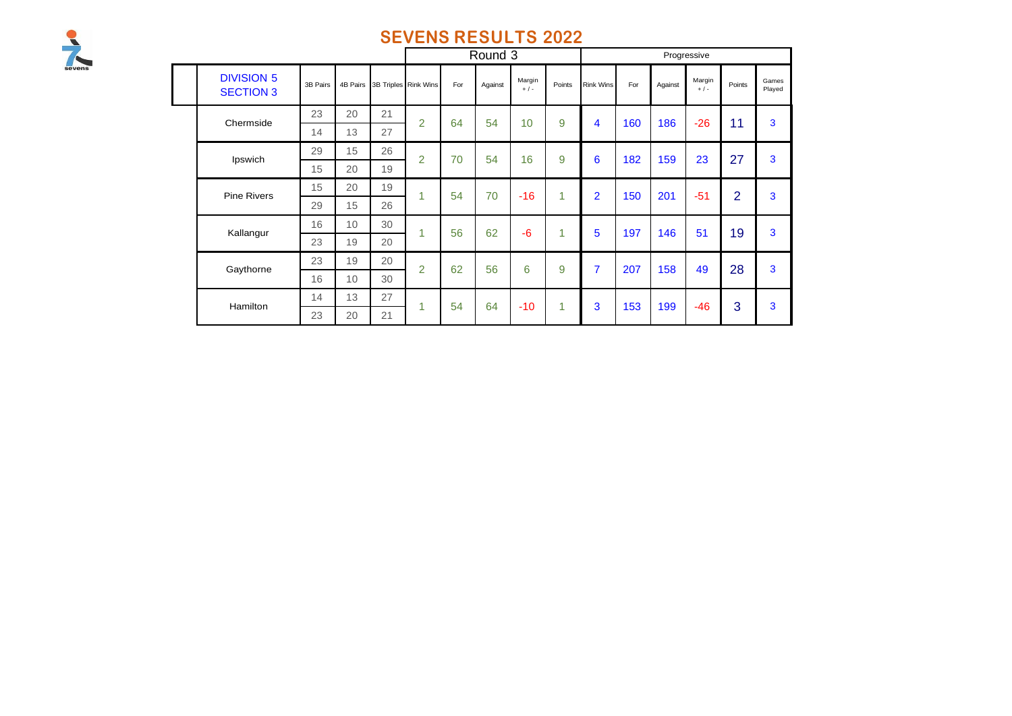

|                                       |          |          |    |                      |     | Round 3 |                 |        |                  |     |         | Progressive     |                |                 |
|---------------------------------------|----------|----------|----|----------------------|-----|---------|-----------------|--------|------------------|-----|---------|-----------------|----------------|-----------------|
| <b>DIVISION 5</b><br><b>SECTION 3</b> | 3B Pairs | 4B Pairs |    | 3B Triples Rink Wins | For | Against | Margin<br>$+/-$ | Points | <b>Rink Wins</b> | For | Against | Margin<br>$+/-$ | Points         | Games<br>Played |
| Chermside                             | 23       | 20       | 21 | $\overline{2}$       | 64  | 54      | 10              | 9      | 4                | 160 | 186     | $-26$           | 11             | 3               |
|                                       | 14       | 13       | 27 |                      |     |         |                 |        |                  |     |         |                 |                |                 |
| Ipswich                               | 29       | 15       | 26 | $\overline{2}$       | 70  | 54      | 16              | 9      | 6                | 182 | 159     | 23              | 27             | 3               |
|                                       | 15       | 20       | 19 |                      |     |         |                 |        |                  |     |         |                 |                |                 |
| <b>Pine Rivers</b>                    | 15       | 20       | 19 | 1                    | 54  | 70      | $-16$           | 1      | $\overline{2}$   | 150 | 201     | $-51$           | $\overline{2}$ | 3               |
|                                       | 29       | 15       | 26 |                      |     |         |                 |        |                  |     |         |                 |                |                 |
| Kallangur                             | 16       | 10       | 30 | 1                    | 56  | 62      | $-6$            | 1      | 5                | 197 | 146     | 51              | 19             | 3               |
|                                       | 23       | 19       | 20 |                      |     |         |                 |        |                  |     |         |                 |                |                 |
| Gaythorne                             | 23       | 19       | 20 | $\overline{2}$       | 62  | 56      | 6               | 9      | $\overline{7}$   | 207 | 158     | 49              | 28             | 3               |
|                                       | 16       | 10<br>30 |    |                      |     |         |                 |        |                  |     |         |                 |                |                 |
| Hamilton                              | 14       | 13       | 27 | 1                    | 54  | 64      | $-10$           | 1      | 3                | 153 | 199     | $-46$           | 3              | 3               |
|                                       | 23       | 20       | 21 |                      |     |         |                 |        |                  |     |         |                 |                |                 |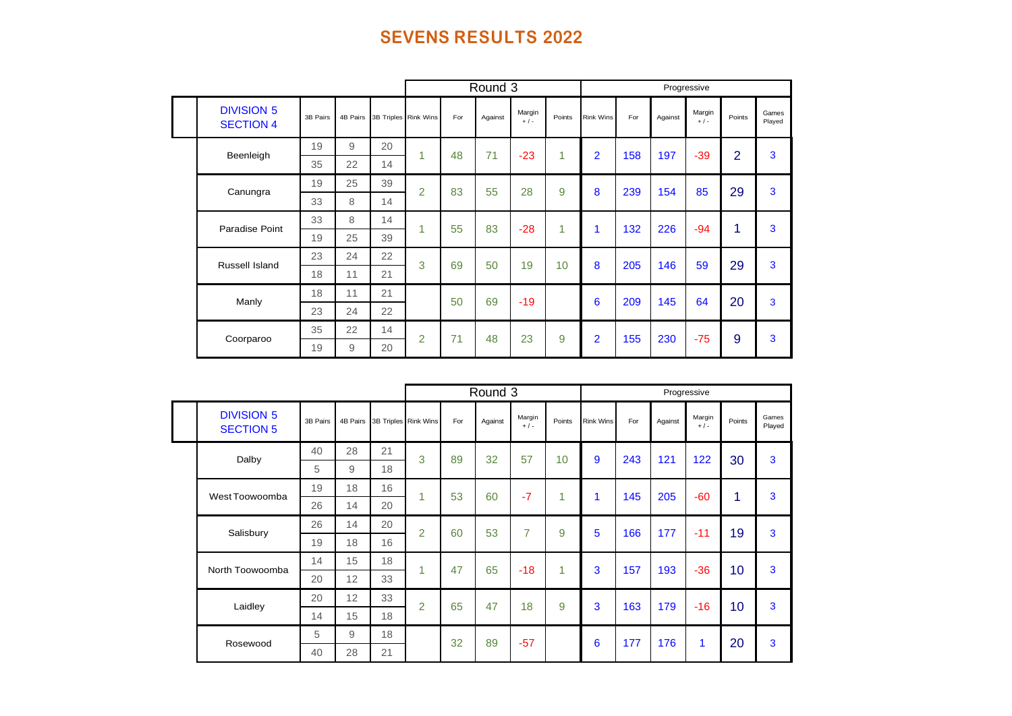|                                       |          |          |    |                      |     | Round 3 |                   |        |                  |     |         | Progressive     |                |                 |
|---------------------------------------|----------|----------|----|----------------------|-----|---------|-------------------|--------|------------------|-----|---------|-----------------|----------------|-----------------|
| <b>DIVISION 5</b><br><b>SECTION 4</b> | 3B Pairs | 4B Pairs |    | 3B Triples Rink Wins | For | Against | Margin<br>$+$ / - | Points | <b>Rink Wins</b> | For | Against | Margin<br>$+/-$ | Points         | Games<br>Played |
| Beenleigh                             | 19       | 9        | 20 | 1                    | 48  | 71      | $-23$             | 1.     | $\overline{2}$   | 158 | 197     | $-39$           | $\overline{2}$ | 3               |
|                                       | 35       | 22       | 14 |                      |     |         |                   |        |                  |     |         |                 |                |                 |
| Canungra                              | 19       | 25       | 39 | $\overline{2}$       | 83  | 55      | 28                | 9      | 8                | 239 | 154     | 85              | 29             | 3               |
|                                       | 33       | 8        | 14 |                      |     |         |                   |        |                  |     |         |                 |                |                 |
| Paradise Point                        | 33       | 8        | 14 | 1                    | 55  | 83      | $-28$             | 1      | 1                | 132 | 226     | $-94$           | 1              | 3               |
|                                       | 19       | 25       | 39 |                      |     |         |                   |        |                  |     |         |                 |                |                 |
| Russell Island                        | 23       | 24       | 22 | 3                    | 69  | 50      | 19                | 10     | 8                | 205 | 146     | 59              | 29             | 3               |
|                                       | 18       | 11       | 21 |                      |     |         |                   |        |                  |     |         |                 |                |                 |
| Manly                                 | 18       | 11       | 21 |                      | 50  | 69      | $-19$             |        | 6                | 209 | 145     | 64              | 20             | 3               |
|                                       | 23       | 24       | 22 |                      |     |         |                   |        |                  |     |         |                 |                |                 |
| Coorparoo                             | 35       | 22       | 14 | $\overline{2}$       | 71  | 48      | 23                | 9      | $\overline{2}$   | 155 | 230     | $-75$           | 9              | 3               |
|                                       | 19       | 9        | 20 |                      |     |         |                   |        |                  |     |         |                 |                |                 |

|                                       |          |    |                               |                |     | Round 3 |                 |        |                  |     |         | Progressive     |        |                 |
|---------------------------------------|----------|----|-------------------------------|----------------|-----|---------|-----------------|--------|------------------|-----|---------|-----------------|--------|-----------------|
| <b>DIVISION 5</b><br><b>SECTION 5</b> | 3B Pairs |    | 4B Pairs 3B Triples Rink Wins |                | For | Against | Margin<br>$+/-$ | Points | <b>Rink Wins</b> | For | Against | Margin<br>$+/-$ | Points | Games<br>Played |
| Dalby                                 | 40       | 28 | 21                            | 3              | 89  | 32      | 57              | 10     | 9                | 243 | 121     | 122             | 30     | 3               |
|                                       | 5        | 9  | 18                            |                |     |         |                 |        |                  |     |         |                 |        |                 |
| West Toowoomba                        | 19       | 18 | 16                            | 1              | 53  | 60      | $-7$            | 1      | 1                | 145 | 205     | $-60$           | и      | 3               |
|                                       | 26       | 14 | 20                            |                |     |         |                 |        |                  |     |         |                 |        |                 |
| Salisbury                             | 26       | 14 | 20                            | $\overline{2}$ | 60  | 53      | 7               | 9      | 5                | 166 | 177     | $-11$           | 19     | 3               |
|                                       | 19       | 18 | 16                            |                |     |         |                 |        |                  |     |         |                 |        |                 |
| North Toowoomba                       | 14       | 15 | 18                            | 1              | 47  | 65      | $-18$           | 1      | 3                | 157 | 193     | $-36$           | 10     | 3               |
|                                       | 20       | 12 | 33                            |                |     |         |                 |        |                  |     |         |                 |        |                 |
|                                       | 20       | 12 | 33                            | $\overline{2}$ | 65  | 47      | 18              | 9      | 3                | 163 | 179     | $-16$           | 10     | 3               |
| Laidley                               | 14       | 15 | 18                            |                |     |         |                 |        |                  |     |         |                 |        |                 |
| Rosewood                              | 5        | 9  | 18                            |                | 32  | 89      | $-57$           |        | 6                | 177 | 176     | 1               | 20     | 3               |
|                                       | 40       | 28 | 21                            |                |     |         |                 |        |                  |     |         |                 |        |                 |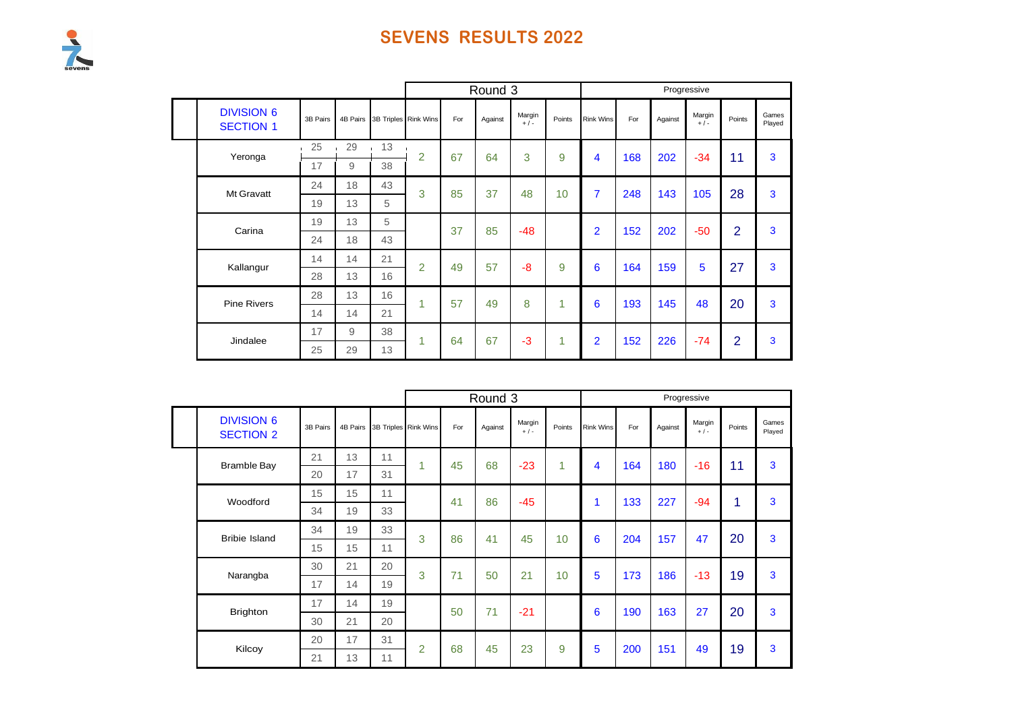# Sevens

|                                       |          |                    |    |                      |     | Round 3 |                 |        |                  |     |         | Progressive     |                |                 |
|---------------------------------------|----------|--------------------|----|----------------------|-----|---------|-----------------|--------|------------------|-----|---------|-----------------|----------------|-----------------|
| <b>DIVISION 6</b><br><b>SECTION 1</b> | 3B Pairs | 4B Pairs           |    | 3B Triples Rink Wins | For | Against | Margin<br>$+/-$ | Points | <b>Rink Wins</b> | For | Against | Margin<br>$+/-$ | Points         | Games<br>Played |
| Yeronga                               | 25       | 29<br>$\mathbf{r}$ | 13 | $\overline{2}$       | 67  | 64      | 3               | 9      | 4                | 168 | 202     | $-34$           | 11             | 3               |
|                                       | 17       | 9                  | 38 |                      |     |         |                 |        |                  |     |         |                 |                |                 |
| Mt Gravatt                            | 24       | 18                 | 43 | 3                    | 85  | 37      | 48              | 10     | $\overline{7}$   | 248 | 143     | 105             | 28             | 3               |
|                                       | 19       | 13                 | 5  |                      |     |         |                 |        |                  |     |         |                 |                |                 |
| Carina                                | 19       | 13                 | 5  |                      | 37  | 85      | $-48$           |        | $\overline{2}$   | 152 | 202     | $-50$           | $\overline{2}$ | 3               |
|                                       | 24       | 18                 | 43 |                      |     |         |                 |        |                  |     |         |                 |                |                 |
| Kallangur                             | 14       | 14                 | 21 | $\overline{2}$       | 49  | 57      | -8              | 9      | 6                | 164 | 159     | 5               | 27             | 3               |
|                                       | 28       | 13                 | 16 |                      |     |         |                 |        |                  |     |         |                 |                |                 |
| <b>Pine Rivers</b>                    | 28       | 13                 | 16 | 1                    | 57  | 49      | 8               | 4      | 6                | 193 | 145     | 48              | 20             | 3               |
|                                       | 14       | 14                 | 21 |                      |     |         |                 |        |                  |     |         |                 |                |                 |
| Jindalee                              | 17       | 9                  | 38 | 1                    | 64  | 67      | $-3$            | 1      | $\overline{2}$   | 152 | 226     | $-74$           | $\overline{2}$ | 3               |
|                                       | 25       | 29                 | 13 |                      |     |         |                 |        |                  |     |         |                 |                |                 |

|  |                                       |          |          |    |                      |     | Round 3 |                   |        |                  |     |         | Progressive       |        |                 |
|--|---------------------------------------|----------|----------|----|----------------------|-----|---------|-------------------|--------|------------------|-----|---------|-------------------|--------|-----------------|
|  | <b>DIVISION 6</b><br><b>SECTION 2</b> | 3B Pairs | 4B Pairs |    | 3B Triples Rink Wins | For | Against | Margin<br>$+$ / - | Points | <b>Rink Wins</b> | For | Against | Margin<br>$+$ / - | Points | Games<br>Played |
|  | <b>Bramble Bay</b>                    | 21       | 13       | 11 | 1                    | 45  | 68      | $-23$             | 1      | 4                | 164 | 180     | $-16$             | 11     | 3               |
|  |                                       | 20       | 17       | 31 |                      |     |         |                   |        |                  |     |         |                   |        |                 |
|  | Woodford                              | 15       | 15       | 11 |                      | 41  | 86      | $-45$             |        |                  | 133 | 227     | $-94$             | 1      | 3               |
|  |                                       | 34       | 19       | 33 |                      |     |         |                   |        |                  |     |         |                   |        |                 |
|  | <b>Bribie Island</b>                  | 34       | 19       | 33 | 3                    | 86  | 41      | 45                | 10     | 6                | 204 | 157     | 47                | 20     | 3               |
|  |                                       | 15       | 15       | 11 |                      |     |         |                   |        |                  |     |         |                   |        |                 |
|  | Narangba                              | 30       | 21       | 20 | 3                    | 71  | 50      | 21                | 10     | 5                | 173 | 186     | $-13$             | 19     | 3               |
|  |                                       | 17       | 14       | 19 |                      |     |         |                   |        |                  |     |         |                   |        |                 |
|  | <b>Brighton</b>                       | 17       | 14       | 19 |                      | 50  | 71      | $-21$             |        | 6                | 190 | 163     | 27                | 20     | 3               |
|  |                                       | 30       | 21       | 20 |                      |     |         |                   |        |                  |     |         |                   |        |                 |
|  | Kilcoy                                | 20       | 17       | 31 | $\overline{2}$       | 68  | 45      | 23                | 9      | 5                | 200 | 151     | 49                | 19     | 3               |
|  |                                       | 21       | 13       | 11 |                      |     |         |                   |        |                  |     |         |                   |        |                 |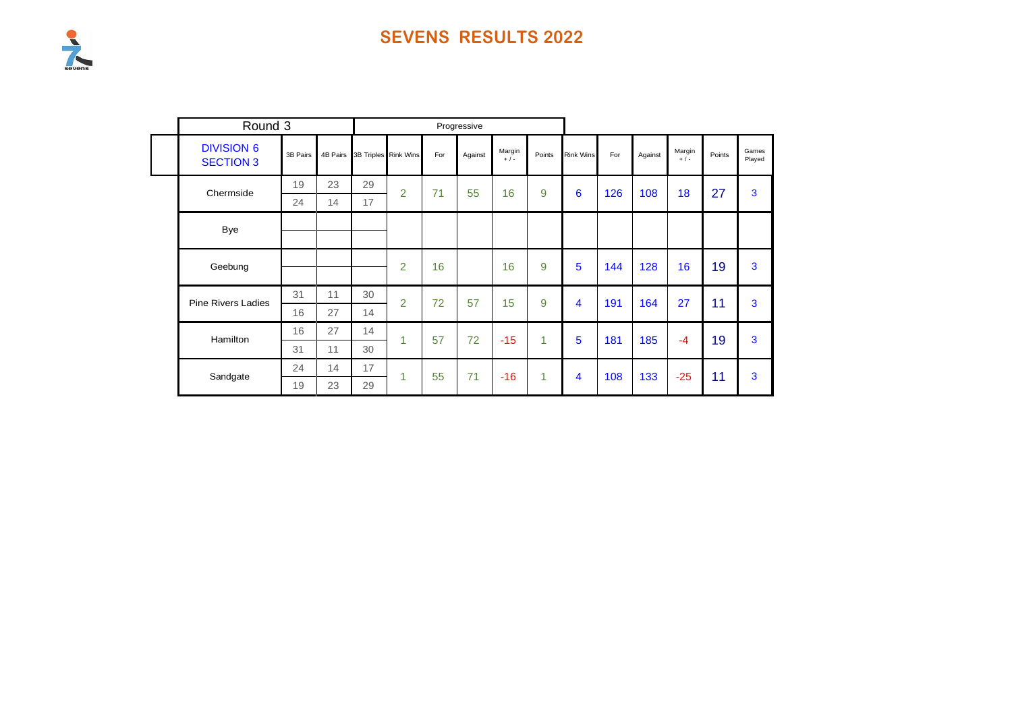

| Round 3                               |          |    |    |                               |     | Progressive |                   |              |                  |     |         |                   |        |                 |
|---------------------------------------|----------|----|----|-------------------------------|-----|-------------|-------------------|--------------|------------------|-----|---------|-------------------|--------|-----------------|
| <b>DIVISION 6</b><br><b>SECTION 3</b> | 3B Pairs |    |    | 4B Pairs 3B Triples Rink Wins | For | Against     | Margin<br>$+$ / - | Points       | <b>Rink Wins</b> | For | Against | Margin<br>$+$ / - | Points | Games<br>Played |
| Chermside                             | 19       | 23 | 29 | $\overline{2}$                | 71  | 55          | 16                | 9            | 6                | 126 | 108     | 18                | 27     | 3               |
|                                       | 24       | 14 | 17 |                               |     |             |                   |              |                  |     |         |                   |        |                 |
| Bye                                   |          |    |    |                               |     |             |                   |              |                  |     |         |                   |        |                 |
|                                       |          |    |    |                               |     |             |                   |              |                  |     |         |                   |        |                 |
| Geebung                               |          |    |    | $\overline{2}$                | 16  |             | 16                | 9            | $5\phantom{1}$   | 144 | 128     | 16                | 19     | 3               |
| <b>Pine Rivers Ladies</b>             | 31       | 11 | 30 | $\overline{2}$                | 72  | 57          | 15                | 9            | 4                | 191 | 164     | 27                | 11     | 3               |
|                                       | 16       | 27 | 14 |                               |     |             |                   |              |                  |     |         |                   |        |                 |
| Hamilton                              | 16       | 27 | 14 | 1                             | 57  | 72          | $-15$             | $\mathbf{1}$ | 5                | 181 | 185     | $-4$              | 19     | 3               |
|                                       | 31       | 11 | 30 |                               |     |             |                   |              |                  |     |         |                   |        |                 |
| Sandgate                              | 24       | 14 | 17 | 1                             | 55  | 71          | $-16$             | 1            | 4                | 108 | 133     | $-25$             | 11     | 3               |
|                                       | 19       | 23 | 29 |                               |     |             |                   |              |                  |     |         |                   |        |                 |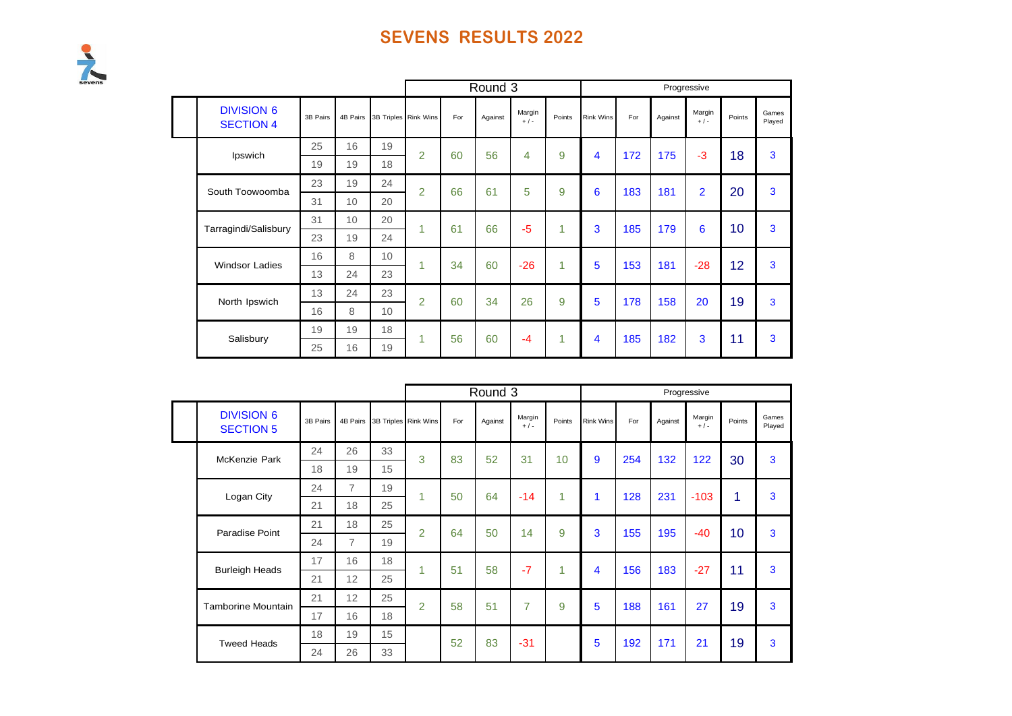

|                                       |          |    |                               |                |     | Round 3 |                 |        |                  |     |         | Progressive     |        |                 |
|---------------------------------------|----------|----|-------------------------------|----------------|-----|---------|-----------------|--------|------------------|-----|---------|-----------------|--------|-----------------|
| <b>DIVISION 6</b><br><b>SECTION 4</b> | 3B Pairs |    | 4B Pairs 3B Triples Rink Wins |                | For | Against | Margin<br>$+/-$ | Points | <b>Rink Wins</b> | For | Against | Margin<br>$+/-$ | Points | Games<br>Played |
| Ipswich                               | 25       | 16 | 19                            | $\overline{2}$ | 60  | 56      | 4               | 9      | 4                | 172 | 175     | $-3$            | 18     | 3               |
|                                       | 19       | 19 | 18                            |                |     |         |                 |        |                  |     |         |                 |        |                 |
| South Toowoomba                       | 23       | 19 | 24                            | $\overline{2}$ | 66  | 61      | 5               | 9      | 6                | 183 | 181     | $\overline{2}$  | 20     | 3               |
|                                       | 31       | 10 | 20                            |                |     |         |                 |        |                  |     |         |                 |        |                 |
|                                       | 31       | 10 | 20                            | 1              | 61  | 66      | $-5$            | 1      | 3                | 185 | 179     | 6               | 10     | 3               |
| Tarragindi/Salisbury                  | 23       | 19 | 24                            |                |     |         |                 |        |                  |     |         |                 |        |                 |
| <b>Windsor Ladies</b>                 | 16       | 8  | 10 <sup>1</sup>               | 1              | 34  | 60      | $-26$           | 1      | 5                | 153 | 181     | $-28$           | 12     | 3               |
|                                       | 13       | 24 | 23                            |                |     |         |                 |        |                  |     |         |                 |        |                 |
| North Ipswich                         | 13       | 24 | 23                            | $\mathfrak{p}$ | 60  | 34      | 26              | 9      | 5                | 178 | 158     | 20              | 19     | 3               |
|                                       | 16       | 8  | 10 <sup>1</sup>               |                |     |         |                 |        |                  |     |         |                 |        |                 |
| Salisbury                             | 19       | 19 | 18                            | 1              | 56  | 60      | $-4$            | 1      | 4                | 185 | 182     | 3               | 11     | 3               |
|                                       | 25       | 16 | 19                            |                |     |         |                 |        |                  |     |         |                 |        |                 |

|                                       |          |                |    |                      |     | Round 3 |                 |        |                  |     |         | Progressive     |        |                 |
|---------------------------------------|----------|----------------|----|----------------------|-----|---------|-----------------|--------|------------------|-----|---------|-----------------|--------|-----------------|
| <b>DIVISION 6</b><br><b>SECTION 5</b> | 3B Pairs | 4B Pairs       |    | 3B Triples Rink Wins | For | Against | Margin<br>$+/-$ | Points | <b>Rink Wins</b> | For | Against | Margin<br>$+/-$ | Points | Games<br>Played |
| McKenzie Park                         | 24       | 26             | 33 | 3                    | 83  | 52      | 31              | 10     | 9                | 254 | 132     | 122             | 30     | 3               |
|                                       | 18       | 19             | 15 |                      |     |         |                 |        |                  |     |         |                 |        |                 |
| Logan City                            | 24       | $\overline{7}$ | 19 | 1                    | 50  | 64      | $-14$           | 4      |                  | 128 | 231     | $-103$          | 1      | 3               |
|                                       | 21       | 18             | 25 |                      |     |         |                 |        |                  |     |         |                 |        |                 |
| Paradise Point                        | 21       | 18             | 25 | $\overline{2}$       | 64  | 50      | 14              | 9      | 3                | 155 | 195     | $-40$           | 10     | 3               |
|                                       | 24       | $\overline{7}$ | 19 |                      |     |         |                 |        |                  |     |         |                 |        |                 |
| <b>Burleigh Heads</b>                 | 17       | 16             | 18 | 1                    | 51  | 58      | $-7$            | 1      | 4                | 156 | 183     | $-27$           | 11     | 3               |
|                                       | 21       | 12             | 25 |                      |     |         |                 |        |                  |     |         |                 |        |                 |
|                                       | 21       | 12             | 25 | $\overline{2}$       | 58  | 51      | 7               | 9      | 5                | 188 | 161     | 27              | 19     | 3               |
| <b>Tamborine Mountain</b>             | 17       | 16             | 18 |                      |     |         |                 |        |                  |     |         |                 |        |                 |
| <b>Tweed Heads</b>                    | 18       | 19             | 15 |                      | 52  | 83      | $-31$           |        | 5                | 192 | 171     | 21              | 19     | 3               |
|                                       | 24       | 26             | 33 |                      |     |         |                 |        |                  |     |         |                 |        |                 |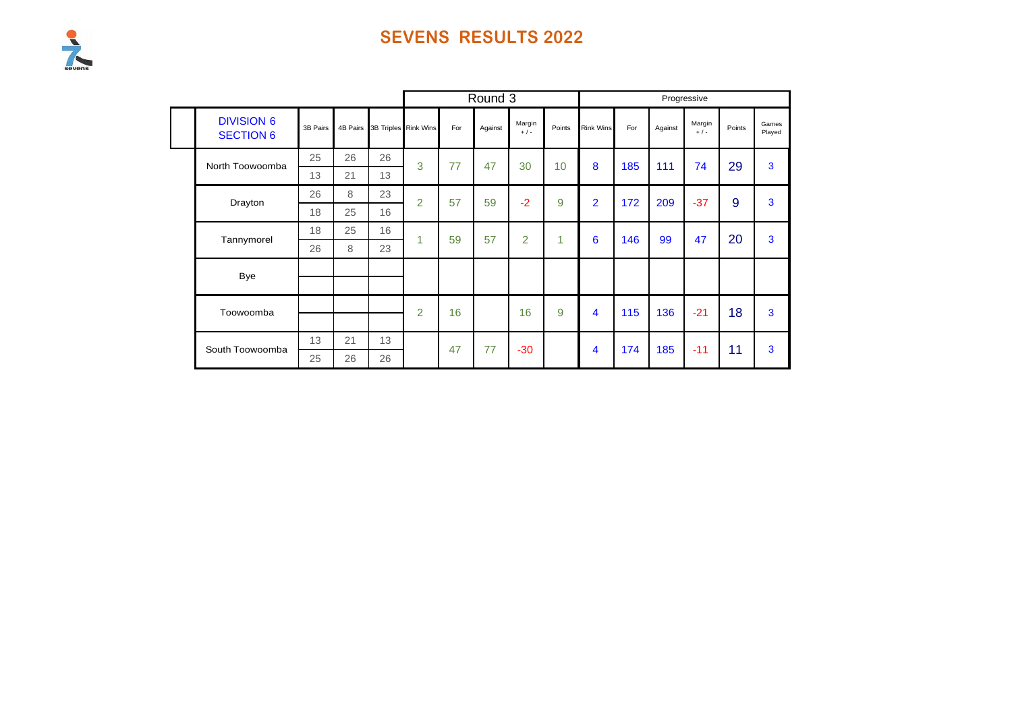

|                                       |          |    |                               |                |     | Round 3 |                 |        |                         |     |         | Progressive     |        |                 |
|---------------------------------------|----------|----|-------------------------------|----------------|-----|---------|-----------------|--------|-------------------------|-----|---------|-----------------|--------|-----------------|
| <b>DIVISION 6</b><br><b>SECTION 6</b> | 3B Pairs |    | 4B Pairs 3B Triples Rink Wins |                | For | Against | Margin<br>$+/-$ | Points | <b>Rink Wins</b>        | For | Against | Margin<br>$+/-$ | Points | Games<br>Played |
| North Toowoomba                       | 25       | 26 | 26                            | 3              | 77  | 47      | 30              | 10     | 8                       | 185 | 111     | 74              | 29     | 3               |
|                                       | 13       | 21 | 13                            |                |     |         |                 |        |                         |     |         |                 |        |                 |
| Drayton                               | 26       | 8  | 23                            | $\overline{2}$ | 57  | 59      | $-2$            | 9      | $\overline{2}$          | 172 | 209     | $-37$           | 9      | 3               |
|                                       | 18       | 25 | 16                            |                |     |         |                 |        |                         |     |         |                 |        |                 |
| Tannymorel                            | 18       | 25 | 16                            | 1              | 59  | 57      | $\overline{2}$  | 1      | 6                       | 146 | 99      | 47              | 20     | 3               |
|                                       | 26       | 8  | 23                            |                |     |         |                 |        |                         |     |         |                 |        |                 |
| <b>Bye</b>                            |          |    |                               |                |     |         |                 |        |                         |     |         |                 |        |                 |
|                                       |          |    |                               |                |     |         |                 |        |                         |     |         |                 |        |                 |
| Toowoomba                             |          |    |                               | $\overline{2}$ | 16  |         | 16              | 9      | $\overline{\mathbf{4}}$ | 115 | 136     | $-21$           | 18     | 3               |
|                                       |          |    |                               |                |     |         |                 |        |                         |     |         |                 |        |                 |
| South Toowoomba                       | 13       | 21 | 13                            |                | 47  | 77      | $-30$           |        | 4                       | 174 | 185     | $-11$           | 11     | 3               |
|                                       | 25       | 26 | 26                            |                |     |         |                 |        |                         |     |         |                 |        |                 |